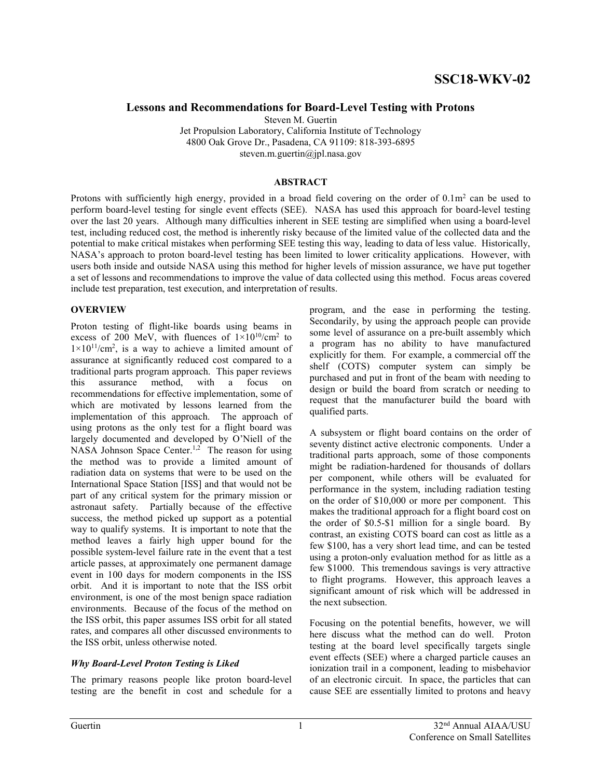### Lessons and Recommendations for Board-Level Testing with Protons

Steven M. Guertin Jet Propulsion Laboratory, California Institute of Technology 4800 Oak Grove Dr., Pasadena, CA 91109: 818-393-6895 steven.m.guertin@jpl.nasa.gov

#### ABSTRACT

Protons with sufficiently high energy, provided in a broad field covering on the order of  $0.1\text{m}^2$  can be used to perform board-level testing for single event effects (SEE). NASA has used this approach for board-level testing over the last 20 years. Although many difficulties inherent in SEE testing are simplified when using a board-level test, including reduced cost, the method is inherently risky because of the limited value of the collected data and the potential to make critical mistakes when performing SEE testing this way, leading to data of less value. Historically, NASA's approach to proton board-level testing has been limited to lower criticality applications. However, with users both inside and outside NASA using this method for higher levels of mission assurance, we have put together a set of lessons and recommendations to improve the value of data collected using this method. Focus areas covered include test preparation, test execution, and interpretation of results.

#### **OVERVIEW**

Proton testing of flight-like boards using beams in excess of 200 MeV, with fluences of  $1\times10^{10}/\text{cm}^2$  to  $1 \times 10^{11}$ /cm<sup>2</sup>, is a way to achieve a limited amount of assurance at significantly reduced cost compared to a traditional parts program approach. This paper reviews this assurance method, with a focus on recommendations for effective implementation, some of which are motivated by lessons learned from the implementation of this approach. The approach of using protons as the only test for a flight board was largely documented and developed by O'Niell of the NASA Johnson Space Center.<sup>1,2</sup> The reason for using the method was to provide a limited amount of radiation data on systems that were to be used on the International Space Station [ISS] and that would not be part of any critical system for the primary mission or astronaut safety. Partially because of the effective success, the method picked up support as a potential way to qualify systems. It is important to note that the method leaves a fairly high upper bound for the possible system-level failure rate in the event that a test article passes, at approximately one permanent damage event in 100 days for modern components in the ISS orbit. And it is important to note that the ISS orbit environment, is one of the most benign space radiation environments. Because of the focus of the method on the ISS orbit, this paper assumes ISS orbit for all stated rates, and compares all other discussed environments to the ISS orbit, unless otherwise noted.

#### Why Board-Level Proton Testing is Liked

The primary reasons people like proton board-level testing are the benefit in cost and schedule for a program, and the ease in performing the testing. Secondarily, by using the approach people can provide some level of assurance on a pre-built assembly which a program has no ability to have manufactured explicitly for them. For example, a commercial off the shelf (COTS) computer system can simply be purchased and put in front of the beam with needing to design or build the board from scratch or needing to request that the manufacturer build the board with qualified parts.

A subsystem or flight board contains on the order of seventy distinct active electronic components. Under a traditional parts approach, some of those components might be radiation-hardened for thousands of dollars per component, while others will be evaluated for performance in the system, including radiation testing on the order of \$10,000 or more per component. This makes the traditional approach for a flight board cost on the order of \$0.5-\$1 million for a single board. By contrast, an existing COTS board can cost as little as a few \$100, has a very short lead time, and can be tested using a proton-only evaluation method for as little as a few \$1000. This tremendous savings is very attractive to flight programs. However, this approach leaves a significant amount of risk which will be addressed in the next subsection.

Focusing on the potential benefits, however, we will here discuss what the method can do well. Proton testing at the board level specifically targets single event effects (SEE) where a charged particle causes an ionization trail in a component, leading to misbehavior of an electronic circuit. In space, the particles that can cause SEE are essentially limited to protons and heavy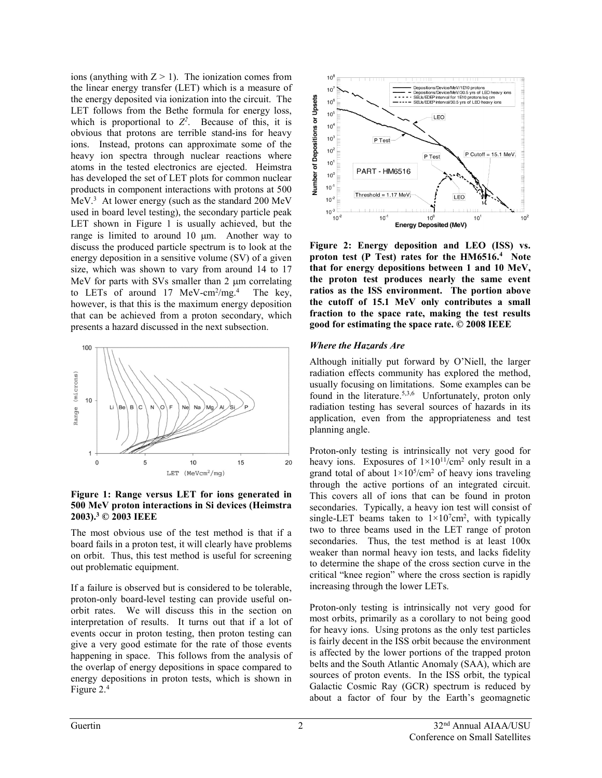ions (anything with  $Z > 1$ ). The ionization comes from the linear energy transfer (LET) which is a measure of the energy deposited via ionization into the circuit. The LET follows from the Bethe formula for energy loss, which is proportional to  $Z^2$ . Because of this, it is obvious that protons are terrible stand-ins for heavy ions. Instead, protons can approximate some of the heavy ion spectra through nuclear reactions where atoms in the tested electronics are ejected. Heimstra has developed the set of LET plots for common nuclear products in component interactions with protons at 500 MeV.<sup>3</sup> At lower energy (such as the standard 200 MeV used in board level testing), the secondary particle peak LET shown in Figure 1 is usually achieved, but the range is limited to around  $10 \mu m$ . Another way to discuss the produced particle spectrum is to look at the energy deposition in a sensitive volume (SV) of a given size, which was shown to vary from around 14 to 17 MeV for parts with SVs smaller than  $2 \mu m$  correlating to LETs of around 17 MeV-cm<sup>2</sup>/mg.<sup>4</sup> The key, however, is that this is the maximum energy deposition that can be achieved from a proton secondary, which presents a hazard discussed in the next subsection.



Figure 1: Range versus LET for ions generated in 500 MeV proton interactions in Si devices (Heimstra 2003).<sup>3</sup> © 2003 IEEE

The most obvious use of the test method is that if a board fails in a proton test, it will clearly have problems on orbit. Thus, this test method is useful for screening out problematic equipment.

If a failure is observed but is considered to be tolerable, proton-only board-level testing can provide useful onorbit rates. We will discuss this in the section on interpretation of results. It turns out that if a lot of events occur in proton testing, then proton testing can give a very good estimate for the rate of those events happening in space. This follows from the analysis of the overlap of energy depositions in space compared to energy depositions in proton tests, which is shown in Figure 2.<sup>4</sup>



Figure 2: Energy deposition and LEO (ISS) vs. proton test (P Test) rates for the HM6516.<sup>4</sup> Note that for energy depositions between 1 and 10 MeV, the proton test produces nearly the same event ratios as the ISS environment. The portion above the cutoff of 15.1 MeV only contributes a small fraction to the space rate, making the test results good for estimating the space rate. © 2008 IEEE

#### Where the Hazards Are

Although initially put forward by O'Niell, the larger radiation effects community has explored the method, usually focusing on limitations. Some examples can be found in the literature.<sup>5,3,6</sup> Unfortunately, proton only radiation testing has several sources of hazards in its application, even from the appropriateness and test planning angle.

Proton-only testing is intrinsically not very good for heavy ions. Exposures of  $1 \times 10^{11}$ /cm<sup>2</sup> only result in a grand total of about  $1 \times 10^5$ /cm<sup>2</sup> of heavy ions traveling through the active portions of an integrated circuit. This covers all of ions that can be found in proton secondaries. Typically, a heavy ion test will consist of single-LET beams taken to  $1 \times 10^7$ cm<sup>2</sup>, with typically two to three beams used in the LET range of proton secondaries. Thus, the test method is at least 100x weaker than normal heavy ion tests, and lacks fidelity to determine the shape of the cross section curve in the critical "knee region" where the cross section is rapidly increasing through the lower LETs.

Proton-only testing is intrinsically not very good for most orbits, primarily as a corollary to not being good for heavy ions. Using protons as the only test particles is fairly decent in the ISS orbit because the environment is affected by the lower portions of the trapped proton belts and the South Atlantic Anomaly (SAA), which are sources of proton events. In the ISS orbit, the typical Galactic Cosmic Ray (GCR) spectrum is reduced by about a factor of four by the Earth's geomagnetic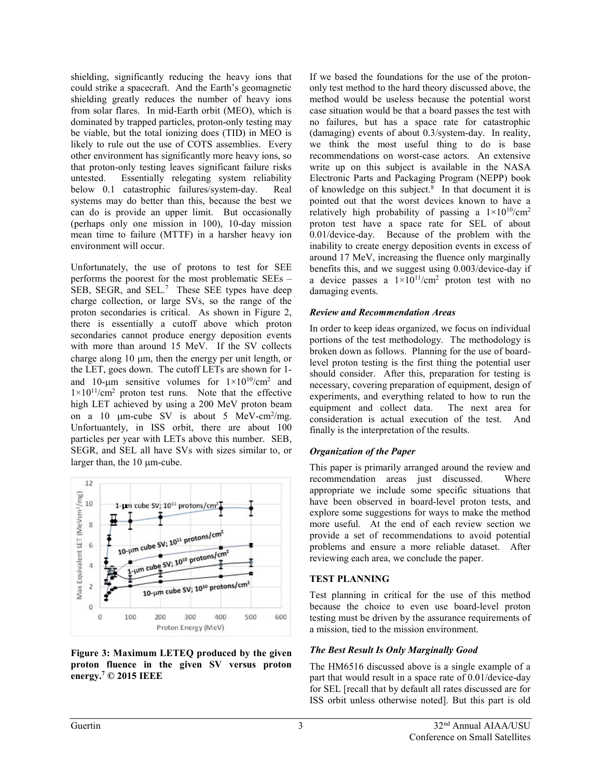shielding, significantly reducing the heavy ions that could strike a spacecraft. And the Earth's geomagnetic shielding greatly reduces the number of heavy ions from solar flares. In mid-Earth orbit (MEO), which is dominated by trapped particles, proton-only testing may be viable, but the total ionizing does (TID) in MEO is likely to rule out the use of COTS assemblies. Every other environment has significantly more heavy ions, so that proton-only testing leaves significant failure risks untested. Essentially relegating system reliability below 0.1 catastrophic failures/system-day. Real systems may do better than this, because the best we can do is provide an upper limit. But occasionally (perhaps only one mission in 100), 10-day mission mean time to failure (MTTF) in a harsher heavy ion environment will occur.

Unfortunately, the use of protons to test for SEE performs the poorest for the most problematic SEEs – SEB, SEGR, and SEL.<sup>7</sup> These SEE types have deep charge collection, or large SVs, so the range of the proton secondaries is critical. As shown in Figure 2, there is essentially a cutoff above which proton secondaries cannot produce energy deposition events with more than around 15 MeV. If the SV collects charge along 10  $\mu$ m, then the energy per unit length, or the LET, goes down. The cutoff LETs are shown for 1 and 10-um sensitive volumes for  $1 \times 10^{10}$ /cm<sup>2</sup> and  $1 \times 10^{11}$ /cm<sup>2</sup> proton test runs. Note that the effective high LET achieved by using a 200 MeV proton beam on a 10  $\mu$ m-cube SV is about 5 MeV-cm<sup>2</sup>/mg. Unfortuantely, in ISS orbit, there are about 100 particles per year with LETs above this number. SEB, SEGR, and SEL all have SVs with sizes similar to, or larger than, the  $10 \mu$ m-cube.



#### Figure 3: Maximum LETEQ produced by the given proton fluence in the given SV versus proton energy.<sup>7</sup> © 2015 IEEE

If we based the foundations for the use of the protononly test method to the hard theory discussed above, the method would be useless because the potential worst case situation would be that a board passes the test with no failures, but has a space rate for catastrophic (damaging) events of about 0.3/system-day. In reality, we think the most useful thing to do is base recommendations on worst-case actors. An extensive write up on this subject is available in the NASA Electronic Parts and Packaging Program (NEPP) book of knowledge on this subject. $8$  In that document it is pointed out that the worst devices known to have a relatively high probability of passing a  $1\times10^{10}/\text{cm}^2$ proton test have a space rate for SEL of about 0.01/device-day. Because of the problem with the inability to create energy deposition events in excess of around 17 MeV, increasing the fluence only marginally benefits this, and we suggest using 0.003/device-day if a device passes a  $1 \times 10^{11}$ /cm<sup>2</sup> proton test with no damaging events.

#### Review and Recommendation Areas

In order to keep ideas organized, we focus on individual portions of the test methodology. The methodology is broken down as follows. Planning for the use of boardlevel proton testing is the first thing the potential user should consider. After this, preparation for testing is necessary, covering preparation of equipment, design of experiments, and everything related to how to run the equipment and collect data. The next area for consideration is actual execution of the test. And finally is the interpretation of the results.

#### Organization of the Paper

This paper is primarily arranged around the review and recommendation areas just discussed. Where appropriate we include some specific situations that have been observed in board-level proton tests, and explore some suggestions for ways to make the method more useful. At the end of each review section we provide a set of recommendations to avoid potential problems and ensure a more reliable dataset. After reviewing each area, we conclude the paper.

#### TEST PLANNING

Test planning in critical for the use of this method because the choice to even use board-level proton testing must be driven by the assurance requirements of a mission, tied to the mission environment.

# The Best Result Is Only Marginally Good

The HM6516 discussed above is a single example of a part that would result in a space rate of 0.01/device-day for SEL [recall that by default all rates discussed are for ISS orbit unless otherwise noted]. But this part is old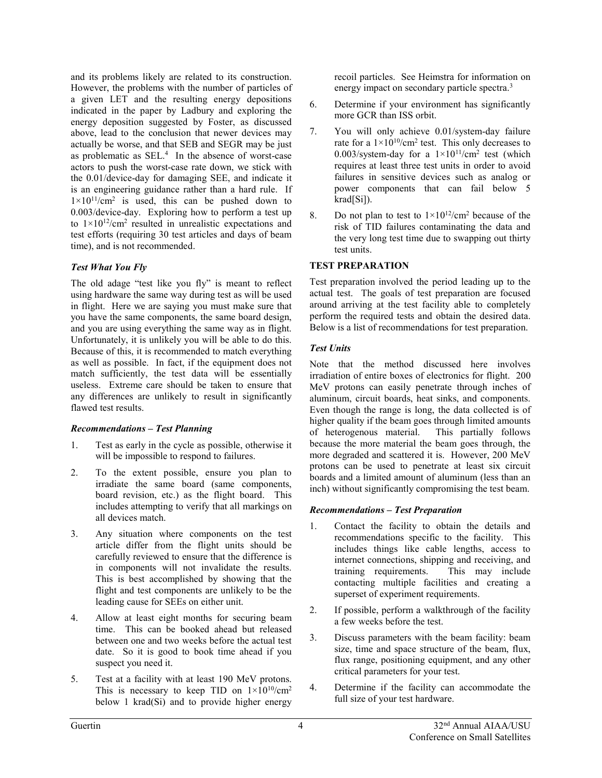and its problems likely are related to its construction. However, the problems with the number of particles of a given LET and the resulting energy depositions indicated in the paper by Ladbury and exploring the energy deposition suggested by Foster, as discussed above, lead to the conclusion that newer devices may actually be worse, and that SEB and SEGR may be just as problematic as  $SEL<sup>4</sup>$ . In the absence of worst-case actors to push the worst-case rate down, we stick with the 0.01/device-day for damaging SEE, and indicate it is an engineering guidance rather than a hard rule. If  $1 \times 10^{11}$ /cm<sup>2</sup> is used, this can be pushed down to 0.003/device-day. Exploring how to perform a test up to  $1 \times 10^{12}$ /cm<sup>2</sup> resulted in unrealistic expectations and test efforts (requiring 30 test articles and days of beam time), and is not recommended.

### Test What You Fly

The old adage "test like you fly" is meant to reflect using hardware the same way during test as will be used in flight. Here we are saying you must make sure that you have the same components, the same board design, and you are using everything the same way as in flight. Unfortunately, it is unlikely you will be able to do this. Because of this, it is recommended to match everything as well as possible. In fact, if the equipment does not match sufficiently, the test data will be essentially useless. Extreme care should be taken to ensure that any differences are unlikely to result in significantly flawed test results.

#### Recommendations – Test Planning

- 1. Test as early in the cycle as possible, otherwise it will be impossible to respond to failures.
- 2. To the extent possible, ensure you plan to irradiate the same board (same components, board revision, etc.) as the flight board. This includes attempting to verify that all markings on all devices match.
- 3. Any situation where components on the test article differ from the flight units should be carefully reviewed to ensure that the difference is in components will not invalidate the results. This is best accomplished by showing that the flight and test components are unlikely to be the leading cause for SEEs on either unit.
- 4. Allow at least eight months for securing beam time. This can be booked ahead but released between one and two weeks before the actual test date. So it is good to book time ahead if you suspect you need it.
- 5. Test at a facility with at least 190 MeV protons. This is necessary to keep TID on  $1 \times 10^{10}$ /cm<sup>2</sup> below 1 krad(Si) and to provide higher energy

recoil particles. See Heimstra for information on energy impact on secondary particle spectra.<sup>3</sup>

- 6. Determine if your environment has significantly more GCR than ISS orbit.
- 7. You will only achieve 0.01/system-day failure rate for a  $1 \times 10^{10}$ /cm<sup>2</sup> test. This only decreases to 0.003/system-day for a  $1\times10^{11}/\text{cm}^2$  test (which requires at least three test units in order to avoid failures in sensitive devices such as analog or power components that can fail below 5 krad[Si]).
- 8. Do not plan to test to  $1 \times 10^{12}$ /cm<sup>2</sup> because of the risk of TID failures contaminating the data and the very long test time due to swapping out thirty test units.

# TEST PREPARATION

Test preparation involved the period leading up to the actual test. The goals of test preparation are focused around arriving at the test facility able to completely perform the required tests and obtain the desired data. Below is a list of recommendations for test preparation.

# Test Units

Note that the method discussed here involves irradiation of entire boxes of electronics for flight. 200 MeV protons can easily penetrate through inches of aluminum, circuit boards, heat sinks, and components. Even though the range is long, the data collected is of higher quality if the beam goes through limited amounts<br>of heterogenous material. This partially follows of heterogenous material. because the more material the beam goes through, the more degraded and scattered it is. However, 200 MeV protons can be used to penetrate at least six circuit boards and a limited amount of aluminum (less than an inch) without significantly compromising the test beam.

# Recommendations – Test Preparation

- 1. Contact the facility to obtain the details and recommendations specific to the facility. This includes things like cable lengths, access to internet connections, shipping and receiving, and training requirements. This may include contacting multiple facilities and creating a superset of experiment requirements.
- 2. If possible, perform a walkthrough of the facility a few weeks before the test.
- 3. Discuss parameters with the beam facility: beam size, time and space structure of the beam, flux, flux range, positioning equipment, and any other critical parameters for your test.
- 4. Determine if the facility can accommodate the full size of your test hardware.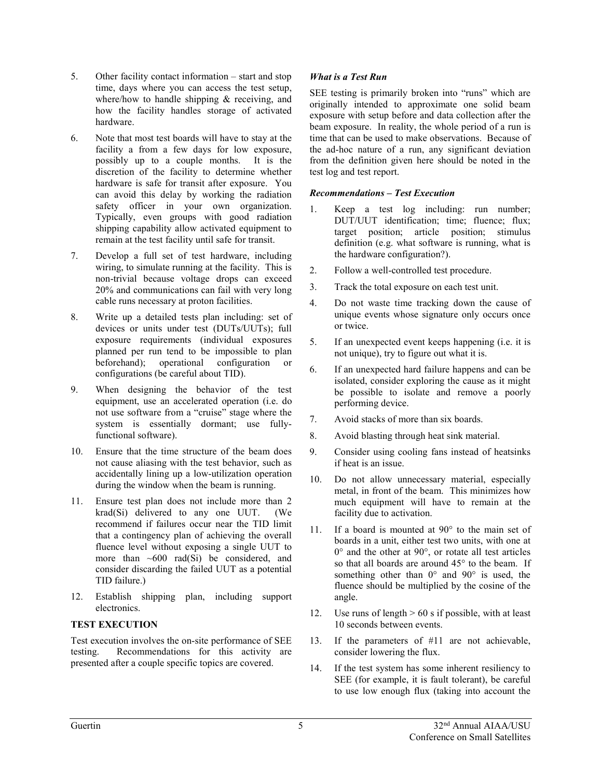- 5. Other facility contact information start and stop time, days where you can access the test setup, where/how to handle shipping & receiving, and how the facility handles storage of activated hardware.
- 6. Note that most test boards will have to stay at the facility a from a few days for low exposure, possibly up to a couple months. It is the discretion of the facility to determine whether hardware is safe for transit after exposure. You can avoid this delay by working the radiation safety officer in your own organization. Typically, even groups with good radiation shipping capability allow activated equipment to remain at the test facility until safe for transit.
- 7. Develop a full set of test hardware, including wiring, to simulate running at the facility. This is non-trivial because voltage drops can exceed 20% and communications can fail with very long cable runs necessary at proton facilities.
- 8. Write up a detailed tests plan including: set of devices or units under test (DUTs/UUTs); full exposure requirements (individual exposures planned per run tend to be impossible to plan beforehand); operational configuration or configurations (be careful about TID).
- 9. When designing the behavior of the test equipment, use an accelerated operation (i.e. do not use software from a "cruise" stage where the system is essentially dormant; use fullyfunctional software).
- 10. Ensure that the time structure of the beam does not cause aliasing with the test behavior, such as accidentally lining up a low-utilization operation during the window when the beam is running.
- 11. Ensure test plan does not include more than 2 krad(Si) delivered to any one UUT. (We recommend if failures occur near the TID limit that a contingency plan of achieving the overall fluence level without exposing a single UUT to more than  $\sim 600$  rad(Si) be considered, and consider discarding the failed UUT as a potential TID failure.)
- 12. Establish shipping plan, including support electronics.

# TEST EXECUTION

Test execution involves the on-site performance of SEE testing. Recommendations for this activity are presented after a couple specific topics are covered.

# What is a Test Run

SEE testing is primarily broken into "runs" which are originally intended to approximate one solid beam exposure with setup before and data collection after the beam exposure. In reality, the whole period of a run is time that can be used to make observations. Because of the ad-hoc nature of a run, any significant deviation from the definition given here should be noted in the test log and test report.

#### Recommendations – Test Execution

- 1. Keep a test log including: run number; DUT/UUT identification; time; fluence; flux; target position; article position; stimulus definition (e.g. what software is running, what is the hardware configuration?).
- 2. Follow a well-controlled test procedure.
- 3. Track the total exposure on each test unit.
- 4. Do not waste time tracking down the cause of unique events whose signature only occurs once or twice.
- 5. If an unexpected event keeps happening (i.e. it is not unique), try to figure out what it is.
- 6. If an unexpected hard failure happens and can be isolated, consider exploring the cause as it might be possible to isolate and remove a poorly performing device.
- 7. Avoid stacks of more than six boards.
- 8. Avoid blasting through heat sink material.
- 9. Consider using cooling fans instead of heatsinks if heat is an issue.
- 10. Do not allow unnecessary material, especially metal, in front of the beam. This minimizes how much equipment will have to remain at the facility due to activation.
- 11. If a board is mounted at 90° to the main set of boards in a unit, either test two units, with one at 0° and the other at 90°, or rotate all test articles so that all boards are around 45° to the beam. If something other than  $0^{\circ}$  and  $90^{\circ}$  is used, the fluence should be multiplied by the cosine of the angle.
- 12. Use runs of length  $> 60$  s if possible, with at least 10 seconds between events.
- 13. If the parameters of #11 are not achievable, consider lowering the flux.
- 14. If the test system has some inherent resiliency to SEE (for example, it is fault tolerant), be careful to use low enough flux (taking into account the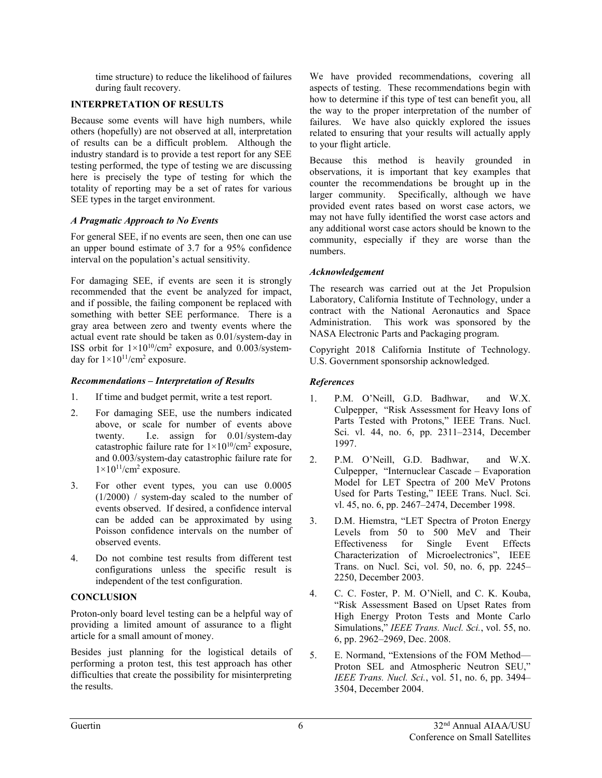time structure) to reduce the likelihood of failures during fault recovery.

### INTERPRETATION OF RESULTS

Because some events will have high numbers, while others (hopefully) are not observed at all, interpretation of results can be a difficult problem. Although the industry standard is to provide a test report for any SEE testing performed, the type of testing we are discussing here is precisely the type of testing for which the totality of reporting may be a set of rates for various SEE types in the target environment.

### A Pragmatic Approach to No Events

For general SEE, if no events are seen, then one can use an upper bound estimate of 3.7 for a 95% confidence interval on the population's actual sensitivity.

For damaging SEE, if events are seen it is strongly recommended that the event be analyzed for impact, and if possible, the failing component be replaced with something with better SEE performance. There is a gray area between zero and twenty events where the actual event rate should be taken as 0.01/system-day in ISS orbit for  $1 \times 10^{10}$ /cm<sup>2</sup> exposure, and 0.003/systemday for  $1 \times 10^{11}$ /cm<sup>2</sup> exposure.

# Recommendations – Interpretation of Results

- 1. If time and budget permit, write a test report.
- 2. For damaging SEE, use the numbers indicated above, or scale for number of events above twenty. I.e. assign for 0.01/system-day catastrophic failure rate for  $1 \times 10^{10}$ /cm<sup>2</sup> exposure, and 0.003/system-day catastrophic failure rate for  $1\times10^{11}/\text{cm}^2$  exposure.
- 3. For other event types, you can use 0.0005 (1/2000) / system-day scaled to the number of events observed. If desired, a confidence interval can be added can be approximated by using Poisson confidence intervals on the number of observed events.
- 4. Do not combine test results from different test configurations unless the specific result is independent of the test configuration.

# **CONCLUSION**

Proton-only board level testing can be a helpful way of providing a limited amount of assurance to a flight article for a small amount of money.

Besides just planning for the logistical details of performing a proton test, this test approach has other difficulties that create the possibility for misinterpreting the results.

We have provided recommendations, covering all aspects of testing. These recommendations begin with how to determine if this type of test can benefit you, all the way to the proper interpretation of the number of failures. We have also quickly explored the issues related to ensuring that your results will actually apply to your flight article.

Because this method is heavily grounded in observations, it is important that key examples that counter the recommendations be brought up in the larger community. Specifically, although we have provided event rates based on worst case actors, we may not have fully identified the worst case actors and any additional worst case actors should be known to the community, especially if they are worse than the numbers.

# Acknowledgement

The research was carried out at the Jet Propulsion Laboratory, California Institute of Technology, under a contract with the National Aeronautics and Space Administration. This work was sponsored by the NASA Electronic Parts and Packaging program.

Copyright 2018 California Institute of Technology. U.S. Government sponsorship acknowledged.

# References

- 1. P.M. O'Neill, G.D. Badhwar, and W.X. Culpepper, "Risk Assessment for Heavy Ions of Parts Tested with Protons," IEEE Trans. Nucl. Sci. vl. 44, no. 6, pp. 2311–2314, December 1997.
- 2. P.M. O'Neill, G.D. Badhwar, and W.X. Culpepper, "Internuclear Cascade – Evaporation Model for LET Spectra of 200 MeV Protons Used for Parts Testing," IEEE Trans. Nucl. Sci. vl. 45, no. 6, pp. 2467–2474, December 1998.
- 3. D.M. Hiemstra, "LET Spectra of Proton Energy Levels from 50 to 500 MeV and Their Effectiveness for Single Event Effects Characterization of Microelectronics", IEEE Trans. on Nucl. Sci, vol. 50, no. 6, pp. 2245– 2250, December 2003.
- 4. C. C. Foster, P. M. O'Niell, and C. K. Kouba, "Risk Assessment Based on Upset Rates from High Energy Proton Tests and Monte Carlo Simulations," IEEE Trans. Nucl. Sci., vol. 55, no. 6, pp. 2962–2969, Dec. 2008.
- 5. E. Normand, "Extensions of the FOM Method— Proton SEL and Atmospheric Neutron SEU," IEEE Trans. Nucl. Sci., vol. 51, no. 6, pp. 3494– 3504, December 2004.